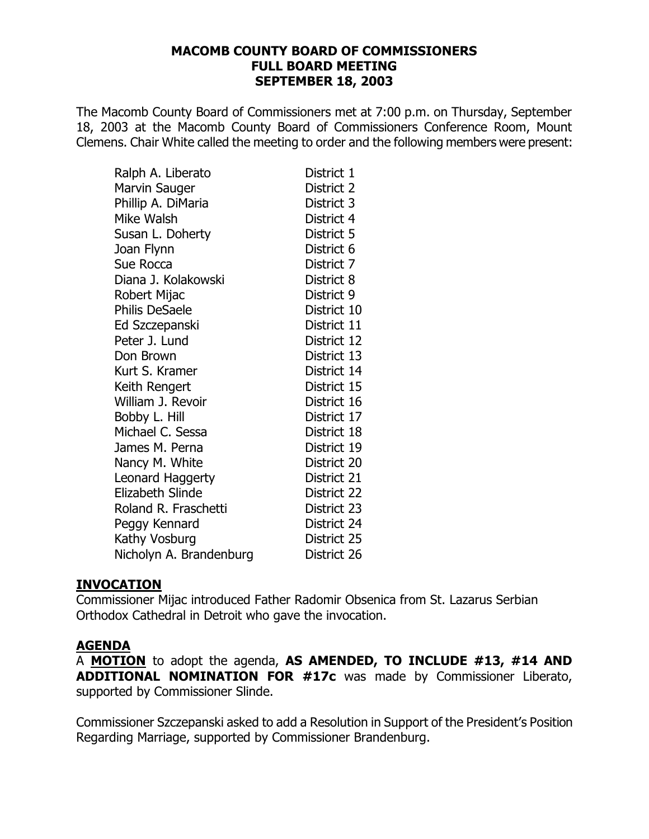#### **[MACOMB COUNTY BOARD OF COMMISSIONERS](http://pdf.iteksoft.com/modules.php?op=modload&name=Sections&file=index&req=viewarticle&artid=4) FULL BOARD MEETING SEPTEMBER 18, 2003**

The Macomb County Board of Commissioners met at 7:00 p.m. on Thursday, September 18, 2003 at the Macomb County Board of Commissioners Conference Room, Mount Clemens. Chair White called the meeting to order and the following members were present:

| Ralph A. Liberato       | District 1  |
|-------------------------|-------------|
| Marvin Sauger           | District 2  |
| Phillip A. DiMaria      | District 3  |
| Mike Walsh              | District 4  |
| Susan L. Doherty        | District 5  |
| Joan Flynn              | District 6  |
| Sue Rocca               | District 7  |
| Diana J. Kolakowski     | District 8  |
| Robert Mijac            | District 9  |
| <b>Philis DeSaele</b>   | District 10 |
| Ed Szczepanski          | District 11 |
| Peter J. Lund           | District 12 |
| Don Brown               | District 13 |
| Kurt S. Kramer          | District 14 |
| Keith Rengert           | District 15 |
| William J. Revoir       | District 16 |
| Bobby L. Hill           | District 17 |
| Michael C. Sessa        | District 18 |
| James M. Perna          | District 19 |
| Nancy M. White          | District 20 |
| Leonard Haggerty        | District 21 |
| <b>Elizabeth Slinde</b> | District 22 |
| Roland R. Fraschetti    | District 23 |
| Peggy Kennard           | District 24 |
| Kathy Vosburg           | District 25 |
| Nicholyn A. Brandenburg | District 26 |

#### **INVOCATION**

Commissioner Mijac introduced Father Radomir Obsenica from St. Lazarus Serbian Orthodox Cathedral in Detroit who gave the invocation.

#### **AGENDA**

A **MOTION** to adopt the agenda, **AS AMENDED, TO INCLUDE #13, #14 AND ADDITIONAL NOMINATION FOR #17c** was made by Commissioner Liberato, supported by Commissioner Slinde.

Commissioner Szczepanski asked to add a Resolution in Support of the President's Position Regarding Marriage, supported by Commissioner Brandenburg.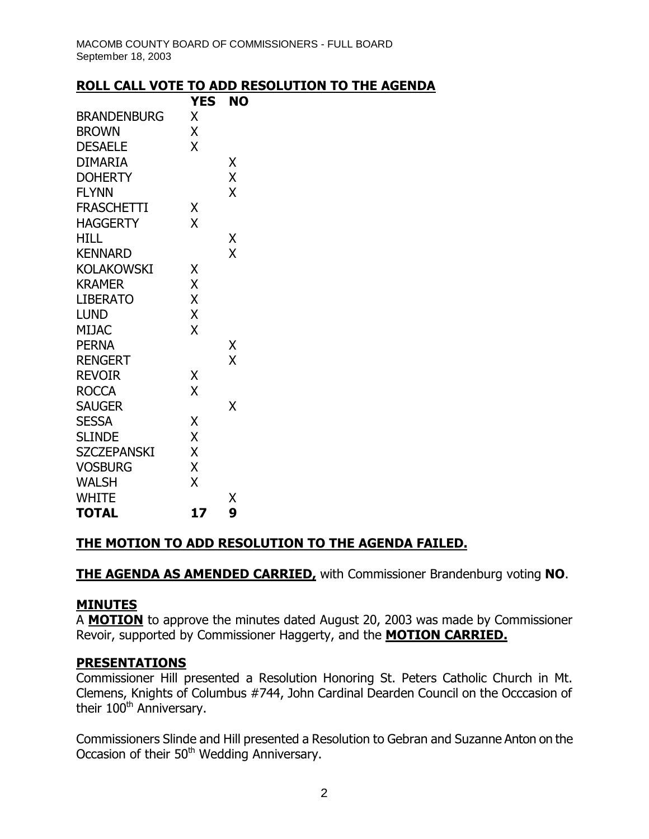#### **ROLL CALL VOTE TO ADD RESOLUTION TO THE AGENDA**

|                    | YES | NO |
|--------------------|-----|----|
| <b>BRANDENBURG</b> | X   |    |
| <b>BROWN</b>       | X   |    |
| <b>DESAELE</b>     | X   |    |
| <b>DIMARIA</b>     |     | Χ  |
| <b>DOHERTY</b>     |     | X  |
| <b>FLYNN</b>       |     | X  |
| <b>FRASCHETTI</b>  | Χ   |    |
| <b>HAGGERTY</b>    | X   |    |
| <b>HILL</b>        |     | Χ  |
| <b>KENNARD</b>     |     | X  |
| <b>KOLAKOWSKI</b>  | Χ   |    |
| KRAMER             | X   |    |
| <b>LIBERATO</b>    | X   |    |
| <b>LUND</b>        | X   |    |
| <b>MIJAC</b>       | X   |    |
| <b>PERNA</b>       |     | Χ  |
| <b>RENGERT</b>     |     | X  |
| <b>REVOIR</b>      | Χ   |    |
| <b>ROCCA</b>       | X   |    |
| <b>SAUGER</b>      |     | Χ  |
| <b>SESSA</b>       | X   |    |
| <b>SLINDE</b>      | X   |    |
| <b>SZCZEPANSKI</b> | X   |    |
| <b>VOSBURG</b>     | X   |    |
| <b>WALSH</b>       | χ   |    |
| <b>WHITE</b>       |     | Χ  |
| <b>TOTAL</b>       | 17  | 9  |

## **THE MOTION TO ADD RESOLUTION TO THE AGENDA FAILED.**

**THE AGENDA AS AMENDED CARRIED,** with Commissioner Brandenburg voting **NO**.

#### **MINUTES**

A **MOTION** to approve the minutes dated August 20, 2003 was made by Commissioner Revoir, supported by Commissioner Haggerty, and the **MOTION CARRIED.**

#### **PRESENTATIONS**

Commissioner Hill presented a Resolution Honoring St. Peters Catholic Church in Mt. Clemens, Knights of Columbus #744, John Cardinal Dearden Council on the Occcasion of their 100<sup>th</sup> Anniversary.

Commissioners Slinde and Hill presented a Resolution to Gebran and Suzanne Anton on the Occasion of their 50<sup>th</sup> Wedding Anniversary.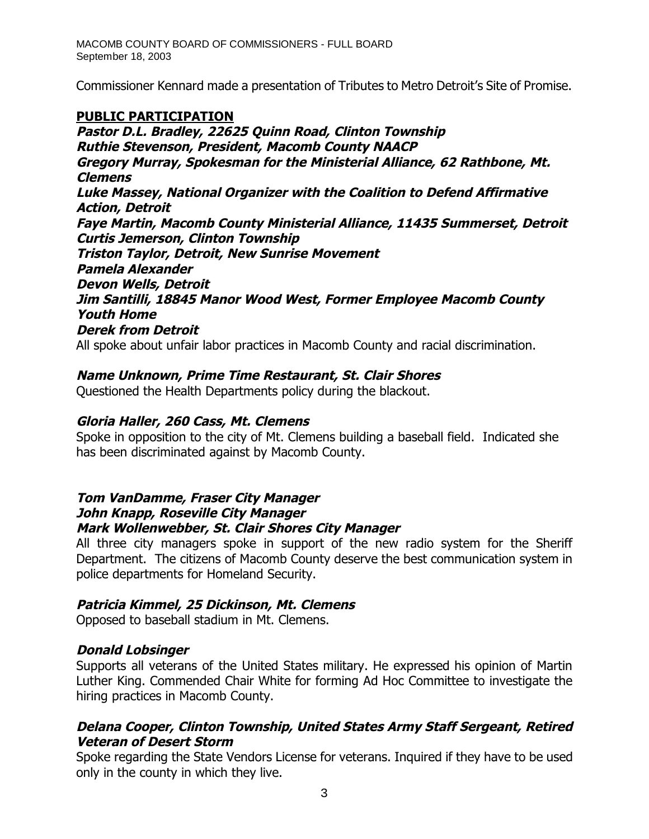M[ACOMB COUNTY BOARD OF COMMISSIONERS - FULL BOARD](http://pdf.iteksoft.com/modules.php?op=modload&name=Sections&file=index&req=viewarticle&artid=4)  September 18, 2003

Commissioner Kennard made a presentation of Tributes to Metro Detroit's Site of Promise.

### **PUBLIC PARTICIPATION**

**Pastor D.L. Bradley, 22625 Quinn Road, Clinton Township Ruthie Stevenson, President, Macomb County NAACP Gregory Murray, Spokesman for the Ministerial Alliance, 62 Rathbone, Mt. Clemens Luke Massey, National Organizer with the Coalition to Defend Affirmative Action, Detroit Faye Martin, Macomb County Ministerial Alliance, 11435 Summerset, Detroit Curtis Jemerson, Clinton Township Triston Taylor, Detroit, New Sunrise Movement Pamela Alexander Devon Wells, Detroit Jim Santilli, 18845 Manor Wood West, Former Employee Macomb County Youth Home Derek from Detroit** All spoke about unfair labor practices in Macomb County and racial discrimination.

#### **Name Unknown, Prime Time Restaurant, St. Clair Shores**

Questioned the Health Departments policy during the blackout.

#### **Gloria Haller, 260 Cass, Mt. Clemens**

Spoke in opposition to the city of Mt. Clemens building a baseball field. Indicated she has been discriminated against by Macomb County.

## **Tom VanDamme, Fraser City Manager John Knapp, Roseville City Manager Mark Wollenwebber, St. Clair Shores City Manager**

All three city managers spoke in support of the new radio system for the Sheriff Department. The citizens of Macomb County deserve the best communication system in police departments for Homeland Security.

#### **Patricia Kimmel, 25 Dickinson, Mt. Clemens**

Opposed to baseball stadium in Mt. Clemens.

#### **Donald Lobsinger**

Supports all veterans of the United States military. He expressed his opinion of Martin Luther King. Commended Chair White for forming Ad Hoc Committee to investigate the hiring practices in Macomb County.

#### **Delana Cooper, Clinton Township, United States Army Staff Sergeant, Retired Veteran of Desert Storm**

Spoke regarding the State Vendors License for veterans. Inquired if they have to be used [only in the county in which they live.](http://www.iteksoft.com/modules.php?op=modload&name=Sections&file=index&req=viewarticle&artid=4)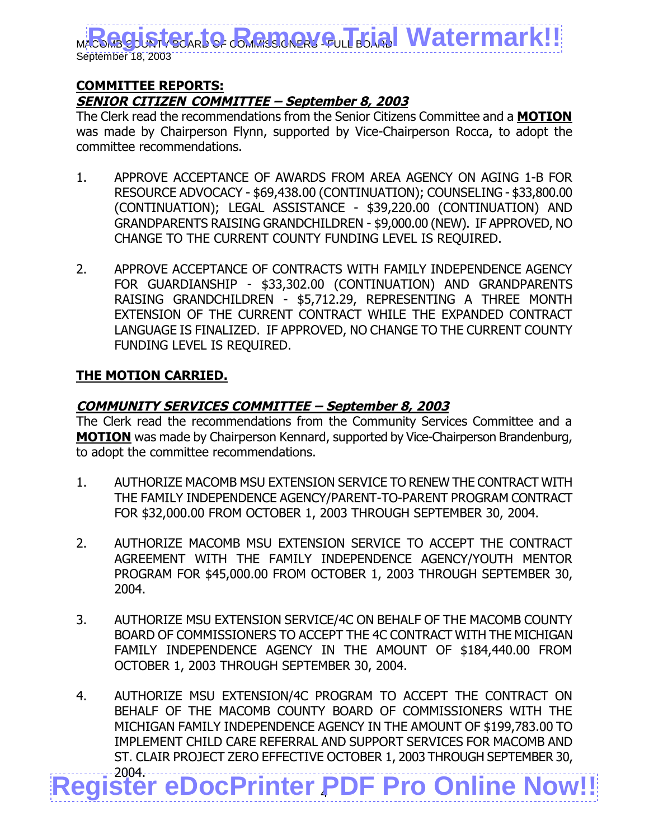#### **COMMITTEE REPORTS: SENIOR CITIZEN COMMITTEE – September 8, 2003**

The Clerk read the recommendations from the Senior Citizens Committee and a **MOTION** was made by Chairperson Flynn, supported by Vice-Chairperson Rocca, to adopt the committee recommendations.

- 1. APPROVE ACCEPTANCE OF AWARDS FROM AREA AGENCY ON AGING 1-B FOR RESOURCE ADVOCACY - \$69,438.00 (CONTINUATION); COUNSELING - \$33,800.00 (CONTINUATION); LEGAL ASSISTANCE - \$39,220.00 (CONTINUATION) AND GRANDPARENTS RAISING GRANDCHILDREN - \$9,000.00 (NEW). IF APPROVED, NO CHANGE TO THE CURRENT COUNTY FUNDING LEVEL IS REQUIRED.
- 2. APPROVE ACCEPTANCE OF CONTRACTS WITH FAMILY INDEPENDENCE AGENCY FOR GUARDIANSHIP - \$33,302.00 (CONTINUATION) AND GRANDPARENTS RAISING GRANDCHILDREN - \$5,712.29, REPRESENTING A THREE MONTH EXTENSION OF THE CURRENT CONTRACT WHILE THE EXPANDED CONTRACT LANGUAGE IS FINALIZED. IF APPROVED, NO CHANGE TO THE CURRENT COUNTY FUNDING LEVEL IS REQUIRED.

## **THE MOTION CARRIED.**

## **COMMUNITY SERVICES COMMITTEE – September 8, 2003**

The Clerk read the recommendations from the Community Services Committee and a **MOTION** was made by Chairperson Kennard, supported by Vice-Chairperson Brandenburg, to adopt the committee recommendations.

- 1. AUTHORIZE MACOMB MSU EXTENSION SERVICE TO RENEW THE CONTRACT WITH THE FAMILY INDEPENDENCE AGENCY/PARENT-TO-PARENT PROGRAM CONTRACT FOR \$32,000.00 FROM OCTOBER 1, 2003 THROUGH SEPTEMBER 30, 2004.
- 2. AUTHORIZE MACOMB MSU EXTENSION SERVICE TO ACCEPT THE CONTRACT AGREEMENT WITH THE FAMILY INDEPENDENCE AGENCY/YOUTH MENTOR PROGRAM FOR \$45,000.00 FROM OCTOBER 1, 2003 THROUGH SEPTEMBER 30, 2004.
- 3. AUTHORIZE MSU EXTENSION SERVICE/4C ON BEHALF OF THE MACOMB COUNTY BOARD OF COMMISSIONERS TO ACCEPT THE 4C CONTRACT WITH THE MICHIGAN FAMILY INDEPENDENCE AGENCY IN THE AMOUNT OF \$184,440.00 FROM OCTOBER 1, 2003 THROUGH SEPTEMBER 30, 2004.
- 4 2004. **[Register eDocPrinter PDF Pro Online Now!!](http://www.iteksoft.com/modules.php?op=modload&name=Sections&file=index&req=viewarticle&artid=4)** 4. AUTHORIZE MSU EXTENSION/4C PROGRAM TO ACCEPT THE CONTRACT ON BEHALF OF THE MACOMB COUNTY BOARD OF COMMISSIONERS WITH THE MICHIGAN FAMILY INDEPENDENCE AGENCY IN THE AMOUNT OF \$199,783.00 TO IMPLEMENT CHILD CARE REFERRAL AND SUPPORT SERVICES FOR MACOMB AND ST. CLAIR PROJECT ZERO EFFECTIVE OCTOBER 1, 2003 THROUGH SEPTEMBER 30,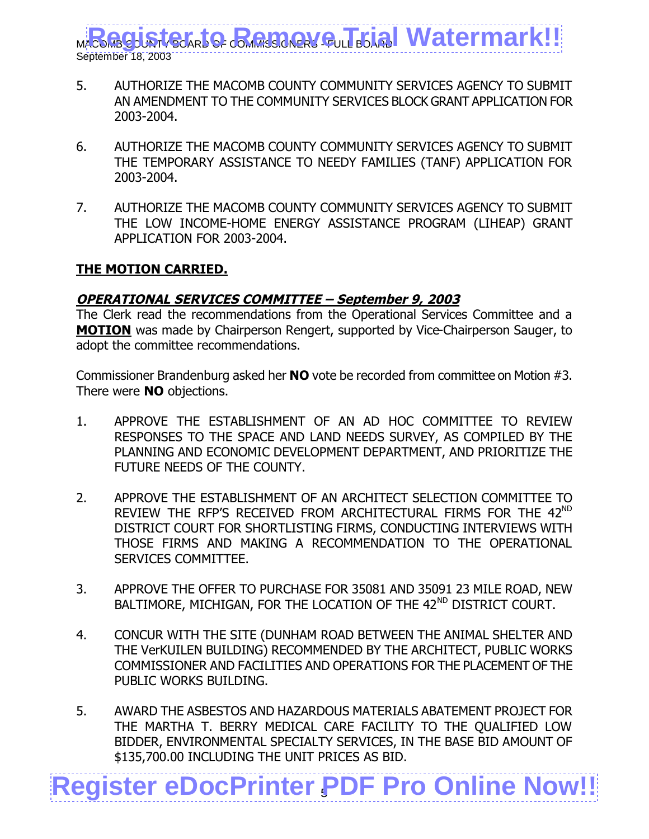- 5. AUTHORIZE THE MACOMB COUNTY COMMUNITY SERVICES AGENCY TO SUBMIT AN AMENDMENT TO THE COMMUNITY SERVICES BLOCK GRANT APPLICATION FOR 2003-2004.
- 6. AUTHORIZE THE MACOMB COUNTY COMMUNITY SERVICES AGENCY TO SUBMIT THE TEMPORARY ASSISTANCE TO NEEDY FAMILIES (TANF) APPLICATION FOR 2003-2004.
- 7. AUTHORIZE THE MACOMB COUNTY COMMUNITY SERVICES AGENCY TO SUBMIT THE LOW INCOME-HOME ENERGY ASSISTANCE PROGRAM (LIHEAP) GRANT APPLICATION FOR 2003-2004.

#### **THE MOTION CARRIED.**

## **OPERATIONAL SERVICES COMMITTEE – September 9, 2003**

The Clerk read the recommendations from the Operational Services Committee and a **MOTION** was made by Chairperson Rengert, supported by Vice-Chairperson Sauger, to adopt the committee recommendations.

Commissioner Brandenburg asked her **NO** vote be recorded from committee on Motion #3. There were **NO** objections.

- 1. APPROVE THE ESTABLISHMENT OF AN AD HOC COMMITTEE TO REVIEW RESPONSES TO THE SPACE AND LAND NEEDS SURVEY, AS COMPILED BY THE PLANNING AND ECONOMIC DEVELOPMENT DEPARTMENT, AND PRIORITIZE THE FUTURE NEEDS OF THE COUNTY.
- 2. APPROVE THE ESTABLISHMENT OF AN ARCHITECT SELECTION COMMITTEE TO REVIEW THE RFP'S RECEIVED FROM ARCHITECTURAL FIRMS FOR THE 42<sup>ND</sup> DISTRICT COURT FOR SHORTLISTING FIRMS, CONDUCTING INTERVIEWS WITH THOSE FIRMS AND MAKING A RECOMMENDATION TO THE OPERATIONAL SERVICES COMMITTEE.
- 3. APPROVE THE OFFER TO PURCHASE FOR 35081 AND 35091 23 MILE ROAD, NEW BALTIMORE, MICHIGAN, FOR THE LOCATION OF THE 42<sup>ND</sup> DISTRICT COURT.
- 4. CONCUR WITH THE SITE (DUNHAM ROAD BETWEEN THE ANIMAL SHELTER AND THE VerKUILEN BUILDING) RECOMMENDED BY THE ARCHITECT, PUBLIC WORKS COMMISSIONER AND FACILITIES AND OPERATIONS FOR THE PLACEMENT OF THE PUBLIC WORKS BUILDING.
- 5. AWARD THE ASBESTOS AND HAZARDOUS MATERIALS ABATEMENT PROJECT FOR THE MARTHA T. BERRY MEDICAL CARE FACILITY TO THE QUALIFIED LOW BIDDER, ENVIRONMENTAL SPECIALTY SERVICES, IN THE BASE BID AMOUNT OF \$135,700.00 INCLUDING THE UNIT PRICES AS BID.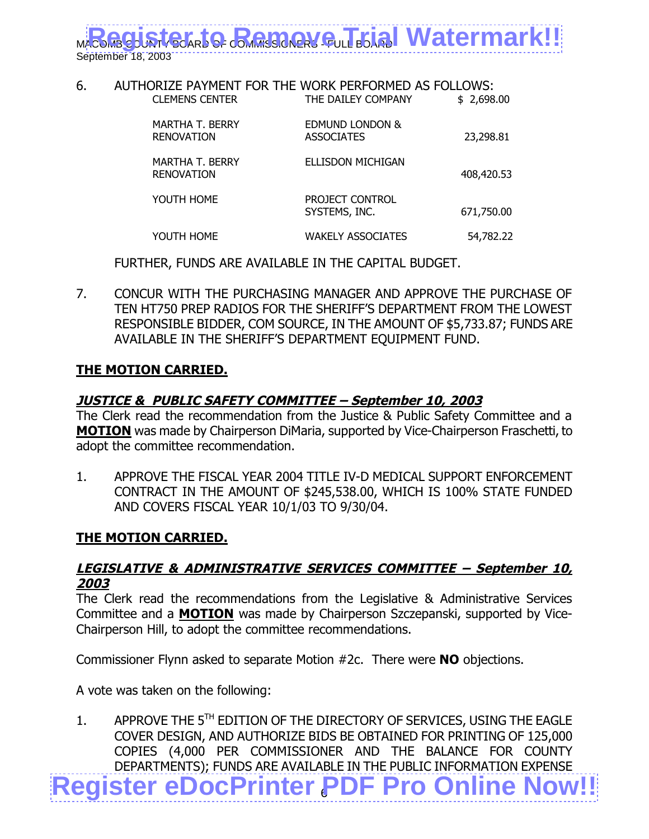#### 6. AUTHORIZE PAYMENT FOR THE WORK PERFORMED AS FOLLOWS: CLEMENS CENTER THE DAILEY COMPANY \$2,698.00

| <b>MARTHA T. BERRY</b><br><b>RENOVATION</b> | EDMUND LONDON &<br><b>ASSOCIATES</b> | 23,298.81  |
|---------------------------------------------|--------------------------------------|------------|
| <b>MARTHA T. BERRY</b><br><b>RENOVATION</b> | ELLISDON MICHIGAN                    | 408,420.53 |
| YOUTH HOME                                  | PROJECT CONTROL<br>SYSTEMS, INC.     | 671,750.00 |
| YOUTH HOME                                  | <b>WAKELY ASSOCIATES</b>             | 54,782.22  |

FURTHER, FUNDS ARE AVAILABLE IN THE CAPITAL BUDGET.

7. CONCUR WITH THE PURCHASING MANAGER AND APPROVE THE PURCHASE OF TEN HT750 PREP RADIOS FOR THE SHERIFF'S DEPARTMENT FROM THE LOWEST RESPONSIBLE BIDDER, COM SOURCE, IN THE AMOUNT OF \$5,733.87; FUNDS ARE AVAILABLE IN THE SHERIFF'S DEPARTMENT EQUIPMENT FUND.

## **THE MOTION CARRIED.**

## **JUSTICE & PUBLIC SAFETY COMMITTEE – September 10, 2003**

The Clerk read the recommendation from the Justice & Public Safety Committee and a **MOTION** was made by Chairperson DiMaria, supported by Vice-Chairperson Fraschetti, to adopt the committee recommendation.

1. APPROVE THE FISCAL YEAR 2004 TITLE IV-D MEDICAL SUPPORT ENFORCEMENT CONTRACT IN THE AMOUNT OF \$245,538.00, WHICH IS 100% STATE FUNDED AND COVERS FISCAL YEAR 10/1/03 TO 9/30/04.

#### **THE MOTION CARRIED.**

#### **LEGISLATIVE & ADMINISTRATIVE SERVICES COMMITTEE – September 10, 2003**

The Clerk read the recommendations from the Legislative & Administrative Services Committee and a **MOTION** was made by Chairperson Szczepanski, supported by Vice-Chairperson Hill, to adopt the committee recommendations.

Commissioner Flynn asked to separate Motion #2c. There were **NO** objections.

A vote was taken on the following:

6 **[Register eDocPrinter PDF Pro Online Now!!](http://www.iteksoft.com/modules.php?op=modload&name=Sections&file=index&req=viewarticle&artid=4)** 1. APPROVE THE 5<sup>TH</sup> EDITION OF THE DIRECTORY OF SERVICES, USING THE EAGLE COVER DESIGN, AND AUTHORIZE BIDS BE OBTAINED FOR PRINTING OF 125,000 COPIES (4,000 PER COMMISSIONER AND THE BALANCE FOR COUNTY DEPARTMENTS); FUNDS ARE AVAILABLE IN THE PUBLIC INFORMATION EXPENSE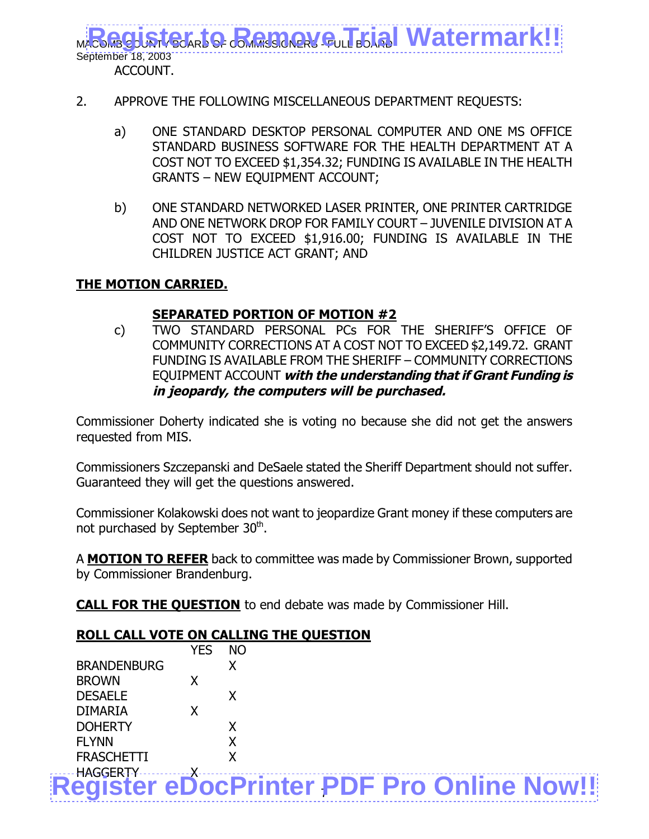- 2. APPROVE THE FOLLOWING MISCELLANEOUS DEPARTMENT REQUESTS:
	- a) ONE STANDARD DESKTOP PERSONAL COMPUTER AND ONE MS OFFICE STANDARD BUSINESS SOFTWARE FOR THE HEALTH DEPARTMENT AT A COST NOT TO EXCEED \$1,354.32; FUNDING IS AVAILABLE IN THE HEALTH GRANTS – NEW EQUIPMENT ACCOUNT;
	- b) ONE STANDARD NETWORKED LASER PRINTER, ONE PRINTER CARTRIDGE AND ONE NETWORK DROP FOR FAMILY COURT – JUVENILE DIVISION AT A COST NOT TO EXCEED \$1,916.00; FUNDING IS AVAILABLE IN THE CHILDREN JUSTICE ACT GRANT; AND

## **THE MOTION CARRIED.**

## **SEPARATED PORTION OF MOTION #2**

c) TWO STANDARD PERSONAL PCs FOR THE SHERIFF'S OFFICE OF COMMUNITY CORRECTIONS AT A COST NOT TO EXCEED \$2,149.72. GRANT FUNDING IS AVAILABLE FROM THE SHERIFF – COMMUNITY CORRECTIONS EQUIPMENT ACCOUNT **with the understanding that if Grant Funding is in jeopardy, the computers will be purchased.**

Commissioner Doherty indicated she is voting no because she did not get the answers requested from MIS.

Commissioners Szczepanski and DeSaele stated the Sheriff Department should not suffer. Guaranteed they will get the questions answered.

Commissioner Kolakowski does not want to jeopardize Grant money if these computers are not purchased by September 30<sup>th</sup>.

A **MOTION TO REFER** back to committee was made by Commissioner Brown, supported by Commissioner Brandenburg.

**CALL FOR THE QUESTION** to end debate was made by Commissioner Hill.

## **ROLL CALL VOTE ON CALLING THE QUESTION**

|                                                  | <b>YES</b> | <b>NO</b> |  |  |
|--------------------------------------------------|------------|-----------|--|--|
| <b>BRANDENBURG</b>                               |            | Χ         |  |  |
| <b>BROWN</b>                                     |            |           |  |  |
| <b>DESAELE</b>                                   |            |           |  |  |
| <b>DIMARIA</b>                                   |            |           |  |  |
| <b>DOHERTY</b>                                   |            | x         |  |  |
| <b>FLYNN</b>                                     |            |           |  |  |
| <b>FRASCHETTI</b>                                |            |           |  |  |
| <b>HAGGERTY</b>                                  |            |           |  |  |
| <b>Register eDocPrinter PDF Pro Online Now!!</b> |            |           |  |  |
|                                                  |            |           |  |  |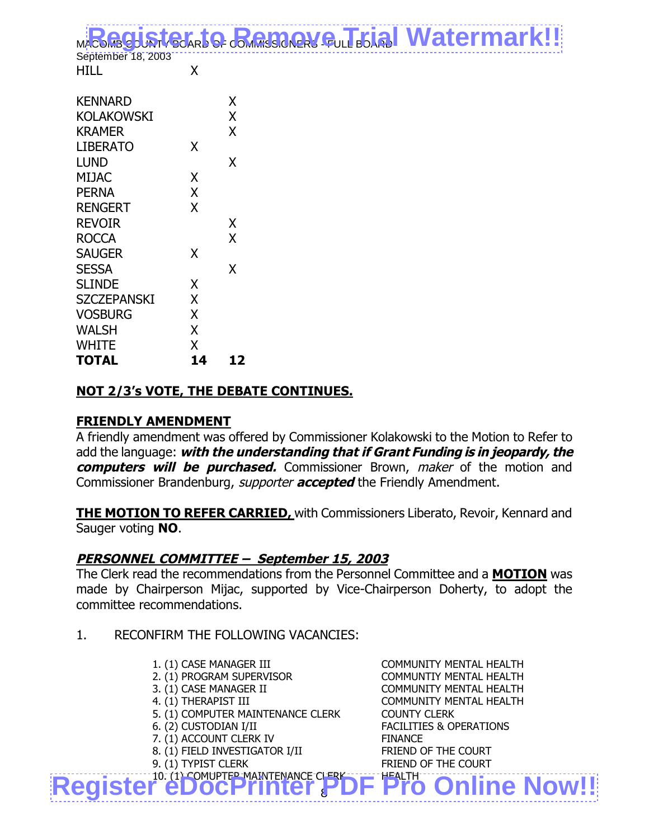|    | x                          |
|----|----------------------------|
|    | Χ                          |
|    | χ                          |
| x  |                            |
|    | x                          |
|    |                            |
|    |                            |
|    |                            |
|    | X                          |
|    | X                          |
|    |                            |
|    | x                          |
|    |                            |
|    |                            |
|    |                            |
| X  |                            |
| X  |                            |
| x  |                            |
| 14 | 12                         |
|    | X<br>X<br>X<br>X<br>Χ<br>X |

## **NOT 2/3's VOTE, THE DEBATE CONTINUES.**

#### **FRIENDLY AMENDMENT**

A friendly amendment was offered by Commissioner Kolakowski to the Motion to Refer to add the language: **with the understanding that if Grant Funding is in jeopardy, the computers will be purchased.** Commissioner Brown, maker of the motion and Commissioner Brandenburg, supporter **accepted** the Friendly Amendment.

**THE MOTION TO REFER CARRIED,** with Commissioners Liberato, Revoir, Kennard and Sauger voting **NO**.

#### **PERSONNEL COMMITTEE – September 15, 2003**

The Clerk read the recommendations from the Personnel Committee and a **MOTION** was made by Chairperson Mijac, supported by Vice-Chairperson Doherty, to adopt the committee recommendations.

- 1. RECONFIRM THE FOLLOWING VACANCIES:
	-
	-
	-
	-
	- 5. (1) COMPUTER MAINTENANCE CLERK COUNTY CLERK
	-
	- 7. (1) ACCOUNT CLERK IV FINANCE
	- 8. (1) FIELD INVESTIGATOR I/II FRIEND OF THE COURT
	-

[Register eDocPrinter PDF Pro Online Now!!](http://www.iteksoft.com/modules.php?op=modload&name=Sections&file=index&req=viewarticle&artid=4) 1. (1) CASE MANAGER III COMMUNITY MENTAL HEALTH 2. (1) PROGRAM SUPERVISOR COMMUNTIY MENTAL HEALTH 3. (1) CASE MANAGER II COMMUNITY MENTAL HEALTH 4. (1) THERAPIST III COMMUNITY MENTAL HEALTH 6. (2) CUSTODIAN I/II FACILITIES & OPERATIONS 9. (1) TYPIST CLERK FRIEND OF THE COURT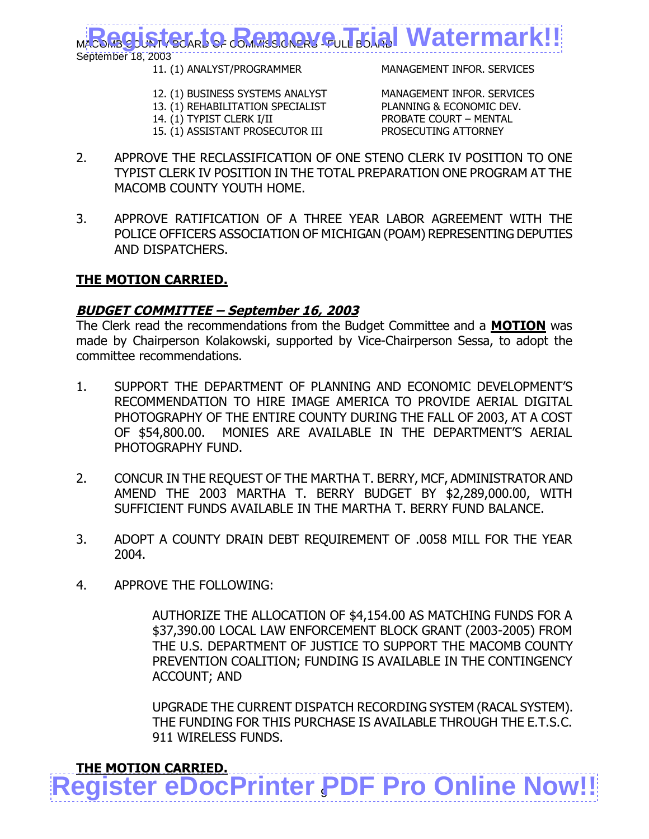September 18, 2003

11. (1) ANALYST/PROGRAMMER MANAGEMENT INFOR. SERVICES

- 12. (1) BUSINESS SYSTEMS ANALYST MANAGEMENT INFOR. SERVICES
- 13. (1) REHABILITATION SPECIALIST PLANNING & ECONOMIC DEV. 14. (1) TYPIST CLERK I/II PROBATE COURT – MENTAL 15. (1) ASSISTANT PROSECUTOR III PROSECUTING ATTORNEY
- 2. APPROVE THE RECLASSIFICATION OF ONE STENO CLERK IV POSITION TO ONE TYPIST CLERK IV POSITION IN THE TOTAL PREPARATION ONE PROGRAM AT THE MACOMB COUNTY YOUTH HOME.
- 3. APPROVE RATIFICATION OF A THREE YEAR LABOR AGREEMENT WITH THE POLICE OFFICERS ASSOCIATION OF MICHIGAN (POAM) REPRESENTING DEPUTIES AND DISPATCHERS.

#### **THE MOTION CARRIED.**

#### **BUDGET COMMITTEE – September 16, 2003**

The Clerk read the recommendations from the Budget Committee and a **MOTION** was made by Chairperson Kolakowski, supported by Vice-Chairperson Sessa, to adopt the committee recommendations.

- 1. SUPPORT THE DEPARTMENT OF PLANNING AND ECONOMIC DEVELOPMENT'S RECOMMENDATION TO HIRE IMAGE AMERICA TO PROVIDE AERIAL DIGITAL PHOTOGRAPHY OF THE ENTIRE COUNTY DURING THE FALL OF 2003, AT A COST OF \$54,800.00. MONIES ARE AVAILABLE IN THE DEPARTMENT'S AERIAL PHOTOGRAPHY FUND.
- 2. CONCUR IN THE REQUEST OF THE MARTHA T. BERRY, MCF, ADMINISTRATOR AND AMEND THE 2003 MARTHA T. BERRY BUDGET BY \$2,289,000.00, WITH SUFFICIENT FUNDS AVAILABLE IN THE MARTHA T. BERRY FUND BALANCE.
- 3. ADOPT A COUNTY DRAIN DEBT REQUIREMENT OF .0058 MILL FOR THE YEAR 2004.
- 4. APPROVE THE FOLLOWING:

AUTHORIZE THE ALLOCATION OF \$4,154.00 AS MATCHING FUNDS FOR A \$37,390.00 LOCAL LAW ENFORCEMENT BLOCK GRANT (2003-2005) FROM THE U.S. DEPARTMENT OF JUSTICE TO SUPPORT THE MACOMB COUNTY PREVENTION COALITION; FUNDING IS AVAILABLE IN THE CONTINGENCY ACCOUNT; AND

UPGRADE THE CURRENT DISPATCH RECORDING SYSTEM (RACAL SYSTEM). THE FUNDING FOR THIS PURCHASE IS AVAILABLE THROUGH THE E.T.S.C. 911 WIRELESS FUNDS.

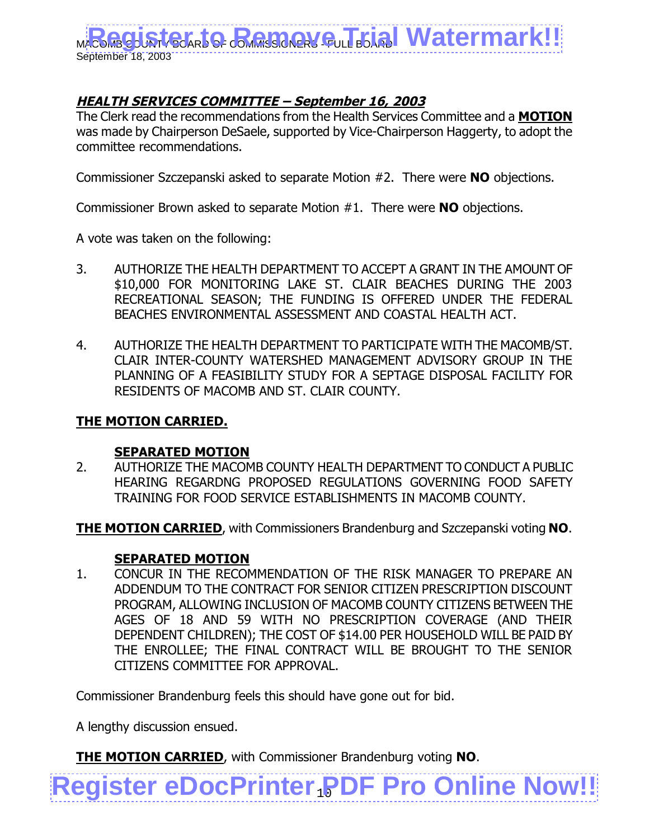

## **HEALTH SERVICES COMMITTEE – September 16, 2003**

The Clerk read the recommendations from the Health Services Committee and a **MOTION** was made by Chairperson DeSaele, supported by Vice-Chairperson Haggerty, to adopt the committee recommendations.

Commissioner Szczepanski asked to separate Motion #2. There were **NO** objections.

Commissioner Brown asked to separate Motion #1. There were **NO** objections.

A vote was taken on the following:

- 3. AUTHORIZE THE HEALTH DEPARTMENT TO ACCEPT A GRANT IN THE AMOUNT OF \$10,000 FOR MONITORING LAKE ST. CLAIR BEACHES DURING THE 2003 RECREATIONAL SEASON; THE FUNDING IS OFFERED UNDER THE FEDERAL BEACHES ENVIRONMENTAL ASSESSMENT AND COASTAL HEALTH ACT.
- 4. AUTHORIZE THE HEALTH DEPARTMENT TO PARTICIPATE WITH THE MACOMB/ST. CLAIR INTER-COUNTY WATERSHED MANAGEMENT ADVISORY GROUP IN THE PLANNING OF A FEASIBILITY STUDY FOR A SEPTAGE DISPOSAL FACILITY FOR RESIDENTS OF MACOMB AND ST. CLAIR COUNTY.

#### **THE MOTION CARRIED.**

#### **SEPARATED MOTION**

2. AUTHORIZE THE MACOMB COUNTY HEALTH DEPARTMENT TO CONDUCT A PUBLIC HEARING REGARDNG PROPOSED REGULATIONS GOVERNING FOOD SAFETY TRAINING FOR FOOD SERVICE ESTABLISHMENTS IN MACOMB COUNTY.

**THE MOTION CARRIED**, with Commissioners Brandenburg and Szczepanski voting **NO**.

#### **SEPARATED MOTION**

1. CONCUR IN THE RECOMMENDATION OF THE RISK MANAGER TO PREPARE AN ADDENDUM TO THE CONTRACT FOR SENIOR CITIZEN PRESCRIPTION DISCOUNT PROGRAM, ALLOWING INCLUSION OF MACOMB COUNTY CITIZENS BETWEEN THE AGES OF 18 AND 59 WITH NO PRESCRIPTION COVERAGE (AND THEIR DEPENDENT CHILDREN); THE COST OF \$14.00 PER HOUSEHOLD WILL BE PAID BY THE ENROLLEE; THE FINAL CONTRACT WILL BE BROUGHT TO THE SENIOR CITIZENS COMMITTEE FOR APPROVAL.

**[Register eDocPrinter PDF Pro Online Now!!](http://www.iteksoft.com/modules.php?op=modload&name=Sections&file=index&req=viewarticle&artid=4)** 

Commissioner Brandenburg feels this should have gone out for bid.

A lengthy discussion ensued.

**THE MOTION CARRIED**, with Commissioner Brandenburg voting **NO**.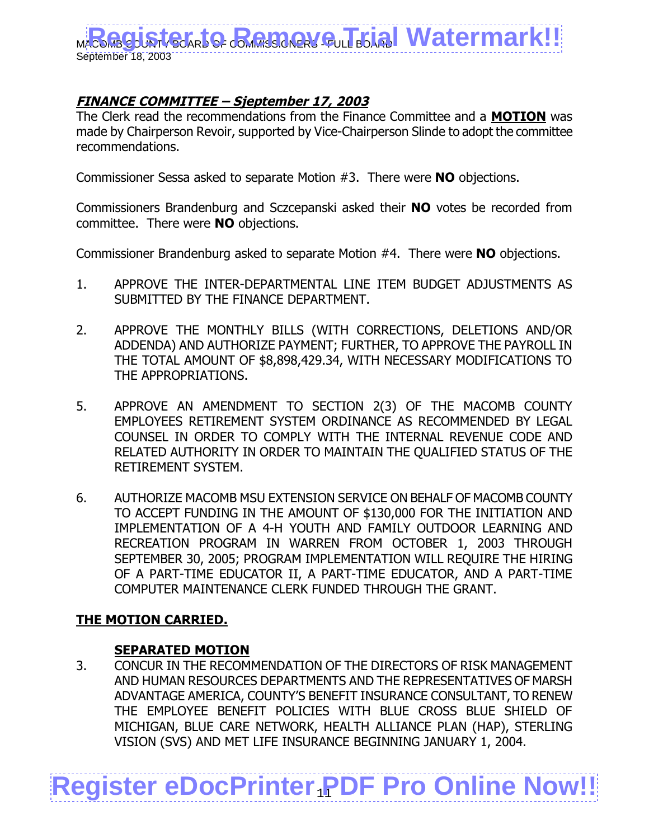

## **FINANCE COMMITTEE – Sjeptember 17, 2003**

The Clerk read the recommendations from the Finance Committee and a **MOTION** was made by Chairperson Revoir, supported by Vice-Chairperson Slinde to adopt the committee recommendations.

Commissioner Sessa asked to separate Motion #3. There were **NO** objections.

Commissioners Brandenburg and Sczcepanski asked their **NO** votes be recorded from committee. There were **NO** objections.

Commissioner Brandenburg asked to separate Motion #4. There were **NO** objections.

- 1. APPROVE THE INTER-DEPARTMENTAL LINE ITEM BUDGET ADJUSTMENTS AS SUBMITTED BY THE FINANCE DEPARTMENT.
- 2. APPROVE THE MONTHLY BILLS (WITH CORRECTIONS, DELETIONS AND/OR ADDENDA) AND AUTHORIZE PAYMENT; FURTHER, TO APPROVE THE PAYROLL IN THE TOTAL AMOUNT OF \$8,898,429.34, WITH NECESSARY MODIFICATIONS TO THE APPROPRIATIONS.
- 5. APPROVE AN AMENDMENT TO SECTION 2(3) OF THE MACOMB COUNTY EMPLOYEES RETIREMENT SYSTEM ORDINANCE AS RECOMMENDED BY LEGAL COUNSEL IN ORDER TO COMPLY WITH THE INTERNAL REVENUE CODE AND RELATED AUTHORITY IN ORDER TO MAINTAIN THE QUALIFIED STATUS OF THE RETIREMENT SYSTEM.
- 6. AUTHORIZE MACOMB MSU EXTENSION SERVICE ON BEHALF OF MACOMB COUNTY TO ACCEPT FUNDING IN THE AMOUNT OF \$130,000 FOR THE INITIATION AND IMPLEMENTATION OF A 4-H YOUTH AND FAMILY OUTDOOR LEARNING AND RECREATION PROGRAM IN WARREN FROM OCTOBER 1, 2003 THROUGH SEPTEMBER 30, 2005; PROGRAM IMPLEMENTATION WILL REQUIRE THE HIRING OF A PART-TIME EDUCATOR II, A PART-TIME EDUCATOR, AND A PART-TIME COMPUTER MAINTENANCE CLERK FUNDED THROUGH THE GRANT.

#### **THE MOTION CARRIED.**

#### **SEPARATED MOTION**

3. CONCUR IN THE RECOMMENDATION OF THE DIRECTORS OF RISK MANAGEMENT AND HUMAN RESOURCES DEPARTMENTS AND THE REPRESENTATIVES OF MARSH ADVANTAGE AMERICA, COUNTY'S BENEFIT INSURANCE CONSULTANT, TO RENEW THE EMPLOYEE BENEFIT POLICIES WITH BLUE CROSS BLUE SHIELD OF MICHIGAN, BLUE CARE NETWORK, HEALTH ALLIANCE PLAN (HAP), STERLING VISION (SVS) AND MET LIFE INSURANCE BEGINNING JANUARY 1, 2004.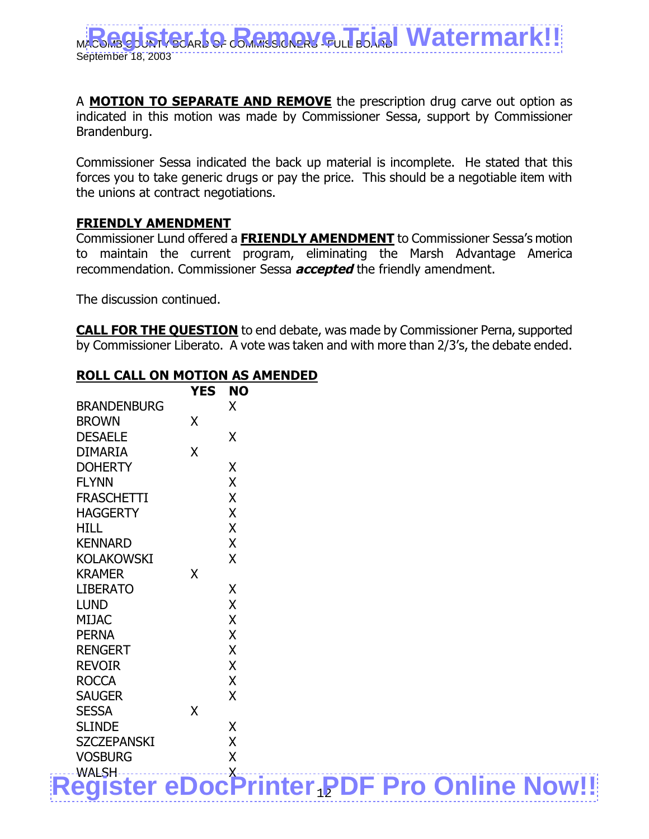A **MOTION TO SEPARATE AND REMOVE** the prescription drug carve out option as indicated in this motion was made by Commissioner Sessa, support by Commissioner Brandenburg.

Commissioner Sessa indicated the back up material is incomplete. He stated that this forces you to take generic drugs or pay the price. This should be a negotiable item with the unions at contract negotiations.

#### **FRIENDLY AMENDMENT**

Commissioner Lund offered a **FRIENDLY AMENDMENT** to Commissioner Sessa's motion to maintain the current program, eliminating the Marsh Advantage America recommendation. Commissioner Sessa **accepted** the friendly amendment.

The discussion continued.

**CALL FOR THE QUESTION** to end debate, was made by Commissioner Perna, supported by Commissioner Liberato. A vote was taken and with more than 2/3's, the debate ended.

#### **ROLL CALL ON MOTION AS AMENDED**

|                                                  | <b>YES</b> | <b>NO</b>               |  |  |  |
|--------------------------------------------------|------------|-------------------------|--|--|--|
| <b>BRANDENBURG</b>                               |            | X                       |  |  |  |
| <b>BROWN</b>                                     | X          |                         |  |  |  |
| <b>DESAELE</b>                                   |            | $\sf X$                 |  |  |  |
| <b>DIMARIA</b>                                   | X          |                         |  |  |  |
| <b>DOHERTY</b>                                   |            | X                       |  |  |  |
| <b>FLYNN</b>                                     |            | X                       |  |  |  |
| <b>FRASCHETTI</b>                                |            | X                       |  |  |  |
| <b>HAGGERTY</b>                                  |            | X                       |  |  |  |
| <b>HILL</b>                                      |            | X                       |  |  |  |
| <b>KENNARD</b>                                   |            | X                       |  |  |  |
| <b>KOLAKOWSKI</b>                                |            | X                       |  |  |  |
| <b>KRAMER</b>                                    | X          |                         |  |  |  |
| <b>LIBERATO</b>                                  |            | X                       |  |  |  |
| <b>LUND</b>                                      |            | X                       |  |  |  |
| <b>MIJAC</b>                                     |            | X                       |  |  |  |
| <b>PERNA</b>                                     |            | $\overline{\mathsf{X}}$ |  |  |  |
| <b>RENGERT</b>                                   |            | X                       |  |  |  |
| <b>REVOIR</b>                                    |            | X                       |  |  |  |
| <b>ROCCA</b>                                     |            | X                       |  |  |  |
| <b>SAUGER</b>                                    |            | $\sf X$                 |  |  |  |
| <b>SESSA</b>                                     | X          |                         |  |  |  |
| <b>SLINDE</b>                                    |            | X                       |  |  |  |
| <b>SZCZEPANSKI</b>                               |            | X                       |  |  |  |
| <b>VOSBURG</b>                                   |            | $\overline{\mathsf{X}}$ |  |  |  |
|                                                  |            |                         |  |  |  |
| <b>Register eDocPrinter PDF Pro Online Now!!</b> |            |                         |  |  |  |
|                                                  |            |                         |  |  |  |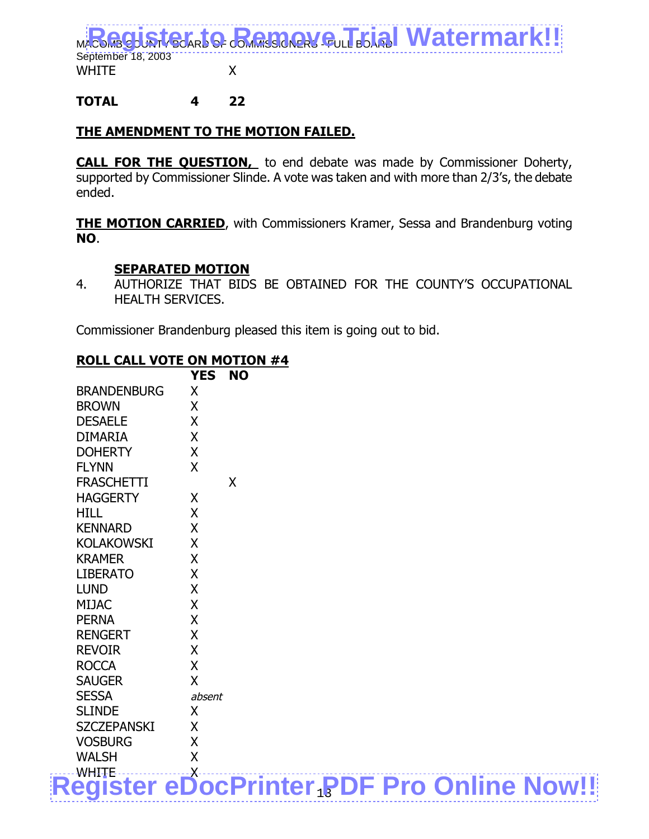

## **TOTAL 4 22**

#### **THE AMENDMENT TO THE MOTION FAILED.**

**CALL FOR THE QUESTION,** to end debate was made by Commissioner Doherty, supported by Commissioner Slinde. A vote was taken and with more than 2/3's, the debate ended.

**THE MOTION CARRIED**, with Commissioners Kramer, Sessa and Brandenburg voting **NO**.

#### **SEPARATED MOTION**

4. AUTHORIZE THAT BIDS BE OBTAINED FOR THE COUNTY'S OCCUPATIONAL HEALTH SERVICES.

Commissioner Brandenburg pleased this item is going out to bid.

#### **ROLL CALL VOTE ON MOTION #4**

|                    | <b>YES</b> | <b>NO</b> |  |                                                  |  |
|--------------------|------------|-----------|--|--------------------------------------------------|--|
| <b>BRANDENBURG</b> | X          |           |  |                                                  |  |
| <b>BROWN</b>       | X          |           |  |                                                  |  |
| <b>DESAELE</b>     | X          |           |  |                                                  |  |
| <b>DIMARIA</b>     | X          |           |  |                                                  |  |
| <b>DOHERTY</b>     | X          |           |  |                                                  |  |
| <b>FLYNN</b>       | X          |           |  |                                                  |  |
| <b>FRASCHETTI</b>  |            | X         |  |                                                  |  |
| <b>HAGGERTY</b>    | X          |           |  |                                                  |  |
| <b>HILL</b>        | X          |           |  |                                                  |  |
| <b>KENNARD</b>     | X          |           |  |                                                  |  |
| <b>KOLAKOWSKI</b>  | X          |           |  |                                                  |  |
| <b>KRAMER</b>      | X          |           |  |                                                  |  |
| <b>LIBERATO</b>    | X          |           |  |                                                  |  |
| <b>LUND</b>        | X          |           |  |                                                  |  |
| <b>MIJAC</b>       | X          |           |  |                                                  |  |
| <b>PERNA</b>       | X          |           |  |                                                  |  |
| <b>RENGERT</b>     | X          |           |  |                                                  |  |
| <b>REVOIR</b>      | X          |           |  |                                                  |  |
| <b>ROCCA</b>       | X          |           |  |                                                  |  |
| <b>SAUGER</b>      | X          |           |  |                                                  |  |
| <b>SESSA</b>       | absent     |           |  |                                                  |  |
| <b>SLINDE</b>      | X          |           |  |                                                  |  |
| <b>SZCZEPANSKI</b> | X          |           |  |                                                  |  |
| <b>VOSBURG</b>     | X          |           |  |                                                  |  |
| <b>WALSH</b>       | X          |           |  |                                                  |  |
| -WHITE             |            |           |  |                                                  |  |
|                    |            |           |  | <b>Register eDocPrinter PDF Pro Online Now!!</b> |  |
|                    |            |           |  |                                                  |  |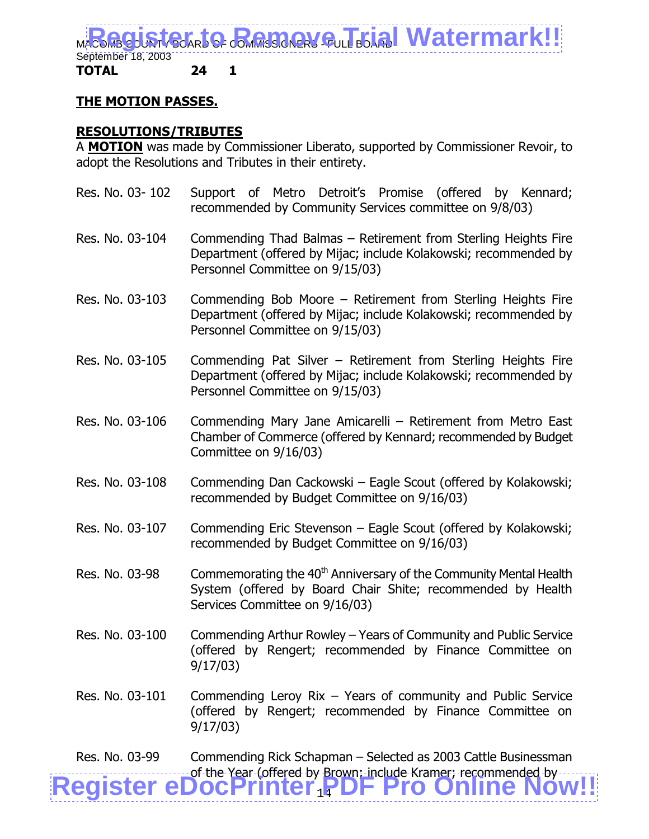

#### **TOTAL 24 1**

#### **THE MOTION PASSES.**

#### **RESOLUTIONS/TRIBUTES**

A **MOTION** was made by Commissioner Liberato, supported by Commissioner Revoir, to adopt the Resolutions and Tributes in their entirety.

- Res. No. 03- 102 Support of Metro Detroit's Promise (offered by Kennard; recommended by Community Services committee on 9/8/03) Res. No. 03-104 Commending Thad Balmas – Retirement from Sterling Heights Fire Department (offered by Mijac; include Kolakowski; recommended by
- Res. No. 03-103 Commending Bob Moore Retirement from Sterling Heights Fire Department (offered by Mijac; include Kolakowski; recommended by Personnel Committee on 9/15/03)

Personnel Committee on 9/15/03)

- Res. No. 03-105 Commending Pat Silver Retirement from Sterling Heights Fire Department (offered by Mijac; include Kolakowski; recommended by Personnel Committee on 9/15/03)
- Res. No. 03-106 Commending Mary Jane Amicarelli Retirement from Metro East Chamber of Commerce (offered by Kennard; recommended by Budget Committee on 9/16/03)
- Res. No. 03-108 Commending Dan Cackowski Eagle Scout (offered by Kolakowski; recommended by Budget Committee on 9/16/03)
- Res. No. 03-107 Commending Eric Stevenson Eagle Scout (offered by Kolakowski; recommended by Budget Committee on 9/16/03)
- Res. No. 03-98 Commemorating the  $40<sup>th</sup>$  Anniversary of the Community Mental Health System (offered by Board Chair Shite; recommended by Health Services Committee on 9/16/03)
- Res. No. 03-100 Commending Arthur Rowley Years of Community and Public Service (offered by Rengert; recommended by Finance Committee on 9/17/03)
- Res. No. 03-101 Commending Leroy Rix Years of community and Public Service (offered by Rengert; recommended by Finance Committee on 9/17/03)

of the Year (offered by Brown; include Kramer; recommended by **[Register eDocPrinter PDF Pro Online Now!!](http://www.iteksoft.com/modules.php?op=modload&name=Sections&file=index&req=viewarticle&artid=4)** Res. No. 03-99 Commending Rick Schapman – Selected as 2003 Cattle Businessman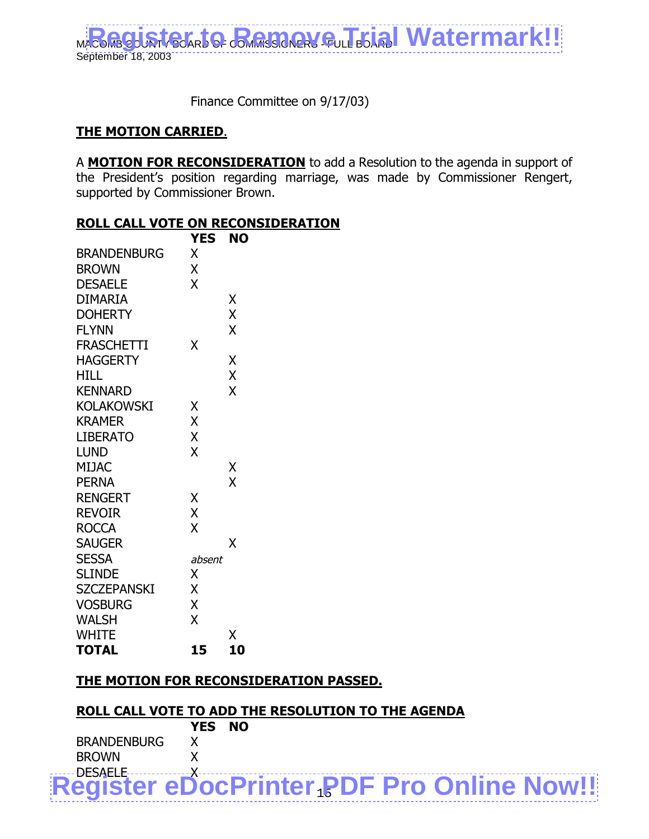

Finance Committee on 9/17/03)

#### **THE MOTION CARRIED**.

A **MOTION FOR RECONSIDERATION** to add a Resolution to the agenda in support of the President's position regarding marriage, was made by Commissioner Rengert, supported by Commissioner Brown.

#### **ROLL CALL VOTE ON RECONSIDERATION**

|                    | <b>YES</b> | NO                      |
|--------------------|------------|-------------------------|
| <b>BRANDENBURG</b> | X          |                         |
| <b>BROWN</b>       | X          |                         |
| <b>DESAELE</b>     | X          |                         |
| <b>DIMARIA</b>     |            | Χ                       |
| <b>DOHERTY</b>     |            | X                       |
| <b>FLYNN</b>       |            | X                       |
| <b>FRASCHETTI</b>  | χ          |                         |
| <b>HAGGERTY</b>    |            | Χ                       |
| HILL               |            | X                       |
| <b>KENNARD</b>     |            | $\overline{\mathsf{X}}$ |
| <b>KOLAKOWSKI</b>  | Χ          |                         |
| <b>KRAMER</b>      | Χ          |                         |
| <b>LIBERATO</b>    | X          |                         |
| <b>LUND</b>        | X          |                         |
| <b>MIJAC</b>       |            | Χ                       |
| <b>PERNA</b>       |            | X                       |
| <b>RENGERT</b>     | Χ          |                         |
| <b>REVOIR</b>      | X          |                         |
| <b>ROCCA</b>       | X          |                         |
| <b>SAUGER</b>      |            | χ                       |
| <b>SESSA</b>       | absent     |                         |
| <b>SLINDE</b>      | X          |                         |
| <b>SZCZEPANSKI</b> | X          |                         |
| <b>VOSBURG</b>     | X          |                         |
| <b>WALSH</b>       | X          |                         |
| <b>WHITE</b>       |            | Χ                       |
| <b>TOTAL</b>       | 15         | 10                      |

#### **THE MOTION FOR RECONSIDERATION PASSED.**

#### **ROLL CALL VOTE TO ADD THE RESOLUTION TO THE AGENDA**

|                    | YES NO |                                                  |  |  |
|--------------------|--------|--------------------------------------------------|--|--|
| <b>BRANDENBURG</b> |        |                                                  |  |  |
| BROWN              |        |                                                  |  |  |
|                    |        |                                                  |  |  |
|                    |        | <b>Register eDocPrinter PDF Pro Online Now!!</b> |  |  |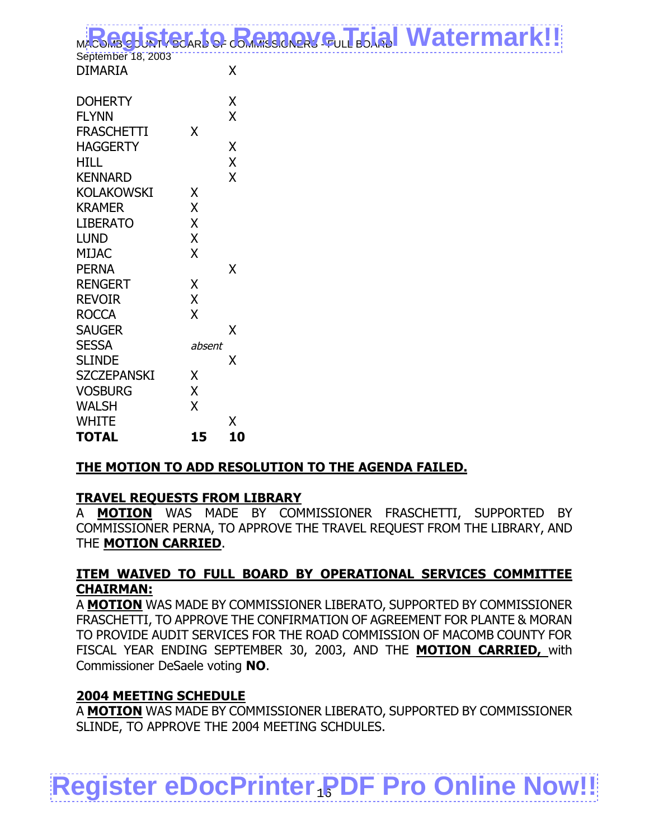|                                      | MARGGISTELATO BARBARY QUI ELISI Watermark!! |  |
|--------------------------------------|---------------------------------------------|--|
| September 18, 2003<br><b>DIMARIA</b> |                                             |  |
| ------                               |                                             |  |

| <b>DOHERTY</b>     |        | Χ  |
|--------------------|--------|----|
| <b>FLYNN</b>       |        | X  |
| <b>FRASCHETTI</b>  | X      |    |
| <b>HAGGERTY</b>    |        | Χ  |
| HILL               |        | X  |
| <b>KENNARD</b>     |        | X  |
| KOLAKOWSKI         | Χ      |    |
| KRAMER             | X      |    |
| LIBERATO           | X      |    |
| LUND               | X      |    |
| <b>MIJAC</b>       | X      |    |
| PERNA              |        | Χ  |
| <b>RENGERT</b>     | Χ      |    |
| <b>REVOIR</b>      | X      |    |
| ROCCA              | X      |    |
| <b>SAUGER</b>      |        | Χ  |
| SESSA              | absent |    |
| SLINDE             |        | Χ  |
| <b>SZCZEPANSKI</b> | Χ      |    |
| Vosburg            | X      |    |
| Walsh              | X      |    |
| White              |        | Χ  |
| TOTAL              | 15     | 10 |
|                    |        |    |

## **THE MOTION TO ADD RESOLUTION TO THE AGENDA FAILED.**

## **TRAVEL REQUESTS FROM LIBRARY**

A **MOTION** WAS MADE BY COMMISSIONER FRASCHETTI, SUPPORTED BY COMMISSIONER PERNA, TO APPROVE THE TRAVEL REQUEST FROM THE LIBRARY, AND THE **MOTION CARRIED**.

#### **ITEM WAIVED TO FULL BOARD BY OPERATIONAL SERVICES COMMITTEE CHAIRMAN:**

A **MOTION** WAS MADE BY COMMISSIONER LIBERATO, SUPPORTED BY COMMISSIONER FRASCHETTI, TO APPROVE THE CONFIRMATION OF AGREEMENT FOR PLANTE & MORAN TO PROVIDE AUDIT SERVICES FOR THE ROAD COMMISSION OF MACOMB COUNTY FOR FISCAL YEAR ENDING SEPTEMBER 30, 2003, AND THE **MOTION CARRIED,** with Commissioner DeSaele voting **NO**.

#### **2004 MEETING SCHEDULE**

A **MOTION** WAS MADE BY COMMISSIONER LIBERATO, SUPPORTED BY COMMISSIONER SLINDE, TO APPROVE THE 2004 MEETING SCHDULES.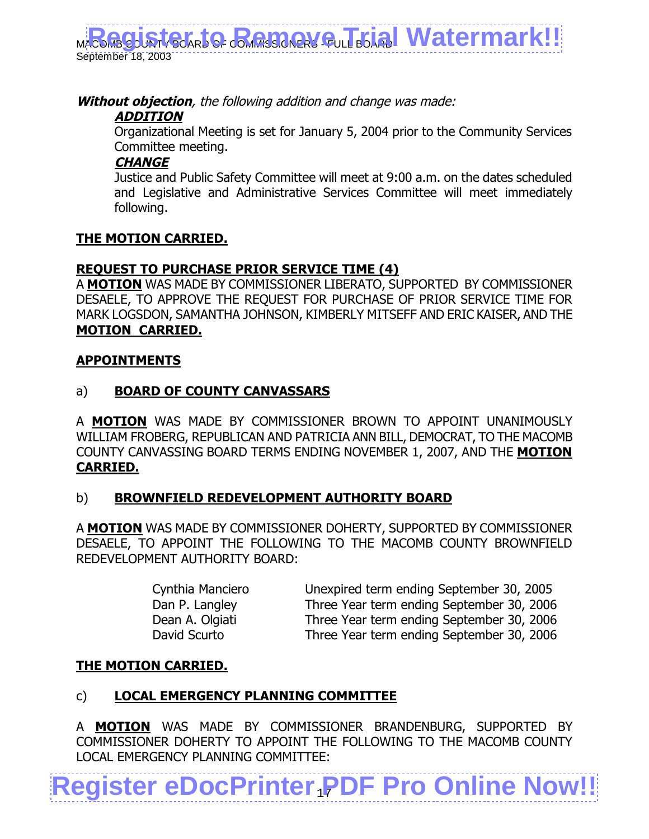**Without objection**, the following addition and change was made:

## **ADDITION**

Organizational Meeting is set for January 5, 2004 prior to the Community Services Committee meeting.

## **CHANGE**

Justice and Public Safety Committee will meet at 9:00 a.m. on the dates scheduled and Legislative and Administrative Services Committee will meet immediately following.

## **THE MOTION CARRIED.**

## **REQUEST TO PURCHASE PRIOR SERVICE TIME (4)**

A **MOTION** WAS MADE BY COMMISSIONER LIBERATO, SUPPORTED BY COMMISSIONER DESAELE, TO APPROVE THE REQUEST FOR PURCHASE OF PRIOR SERVICE TIME FOR MARK LOGSDON, SAMANTHA JOHNSON, KIMBERLY MITSEFF AND ERIC KAISER, AND THE **MOTION CARRIED.**

## **APPOINTMENTS**

## a) **BOARD OF COUNTY CANVASSARS**

A **MOTION** WAS MADE BY COMMISSIONER BROWN TO APPOINT UNANIMOUSLY WILLIAM FROBERG, REPUBLICAN AND PATRICIA ANN BILL, DEMOCRAT, TO THE MACOMB COUNTY CANVASSING BOARD TERMS ENDING NOVEMBER 1, 2007, AND THE **MOTION CARRIED.**

## b) **BROWNFIELD REDEVELOPMENT AUTHORITY BOARD**

A **MOTION** WAS MADE BY COMMISSIONER DOHERTY, SUPPORTED BY COMMISSIONER DESAELE, TO APPOINT THE FOLLOWING TO THE MACOMB COUNTY BROWNFIELD REDEVELOPMENT AUTHORITY BOARD:

Cynthia Manciero Unexpired term ending September 30, 2005 Dan P. Langley Three Year term ending September 30, 2006 Dean A. Olgiati Three Year term ending September 30, 2006 David Scurto Three Year term ending September 30, 2006

## **THE MOTION CARRIED.**

## c) **LOCAL EMERGENCY PLANNING COMMITTEE**

A **MOTION** WAS MADE BY COMMISSIONER BRANDENBURG, SUPPORTED BY COMMISSIONER DOHERTY TO APPOINT THE FOLLOWING TO THE MACOMB COUNTY LOCAL EMERGENCY PLANNING COMMITTEE: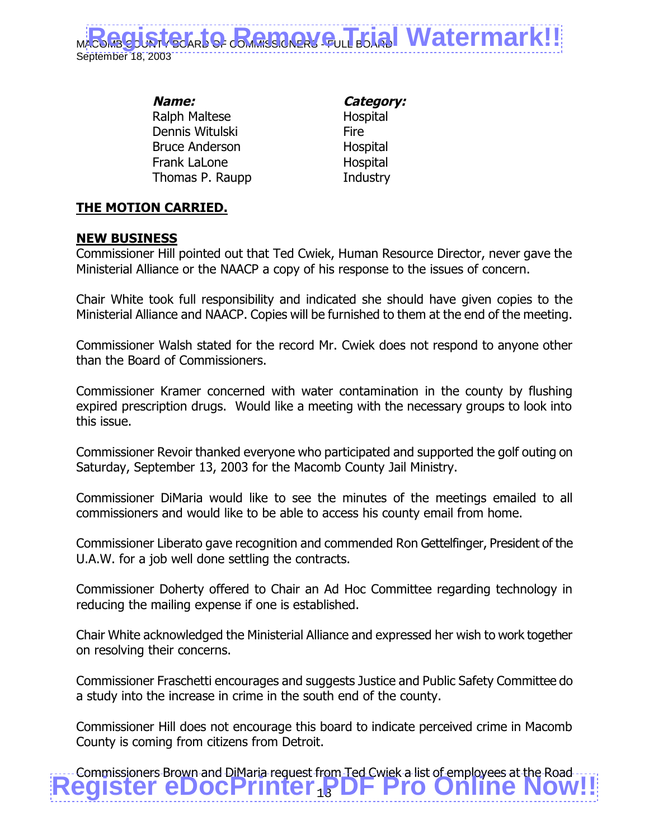

**Name: Category:** Ralph Maltese **Hospital** Dennis Witulski **Fire** Bruce Anderson Hospital Frank LaLone **Hospital** Thomas P. Raupp Industry

## **THE MOTION CARRIED.**

#### **NEW BUSINESS**

Commissioner Hill pointed out that Ted Cwiek, Human Resource Director, never gave the Ministerial Alliance or the NAACP a copy of his response to the issues of concern.

Chair White took full responsibility and indicated she should have given copies to the Ministerial Alliance and NAACP. Copies will be furnished to them at the end of the meeting.

Commissioner Walsh stated for the record Mr. Cwiek does not respond to anyone other than the Board of Commissioners.

Commissioner Kramer concerned with water contamination in the county by flushing expired prescription drugs. Would like a meeting with the necessary groups to look into this issue.

Commissioner Revoir thanked everyone who participated and supported the golf outing on Saturday, September 13, 2003 for the Macomb County Jail Ministry.

Commissioner DiMaria would like to see the minutes of the meetings emailed to all commissioners and would like to be able to access his county email from home.

Commissioner Liberato gave recognition and commended Ron Gettelfinger, President of the U.A.W. for a job well done settling the contracts.

Commissioner Doherty offered to Chair an Ad Hoc Committee regarding technology in reducing the mailing expense if one is established.

Chair White acknowledged the Ministerial Alliance and expressed her wish to work together on resolving their concerns.

Commissioner Fraschetti encourages and suggests Justice and Public Safety Committee do a study into the increase in crime in the south end of the county.

Commissioner Hill does not encourage this board to indicate perceived crime in Macomb County is coming from citizens from Detroit.

**Examples Brown and DiMaria request from Ted Cwiek a list of employees at the Road .....**<br>Register eDocPrinter <sub>18</sub> DF Pro Online Now!!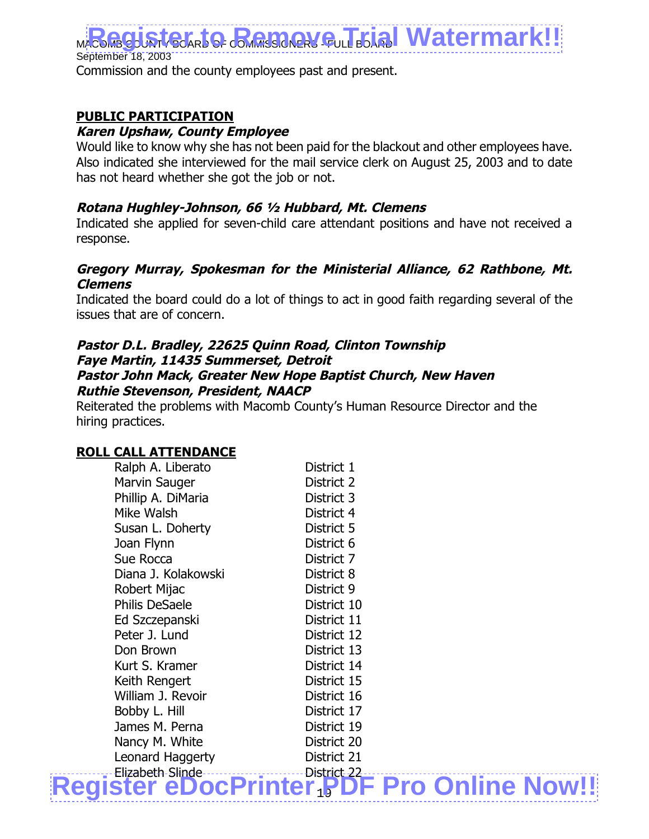September 18, 2003 Commission and the county employees past and present.

## **PUBLIC PARTICIPATION**

#### **Karen Upshaw, County Employee**

Would like to know why she has not been paid for the blackout and other employees have. Also indicated she interviewed for the mail service clerk on August 25, 2003 and to date has not heard whether she got the job or not.

#### **Rotana Hughley-Johnson, 66 ½ Hubbard, Mt. Clemens**

Indicated she applied for seven-child care attendant positions and have not received a response.

#### **Gregory Murray, Spokesman for the Ministerial Alliance, 62 Rathbone, Mt. Clemens**

Indicated the board could do a lot of things to act in good faith regarding several of the issues that are of concern.

#### **Pastor D.L. Bradley, 22625 Quinn Road, Clinton Township Faye Martin, 11435 Summerset, Detroit Pastor John Mack, Greater New Hope Baptist Church, New Haven Ruthie Stevenson, President, NAACP**

Reiterated the problems with Macomb County's Human Resource Director and the hiring practices.

#### **ROLL CALL ATTENDANCE**

| Ralph A. Liberato     | District 1                          |  |
|-----------------------|-------------------------------------|--|
| Marvin Sauger         | District 2                          |  |
| Phillip A. DiMaria    | District 3                          |  |
| Mike Walsh            | District 4                          |  |
| Susan L. Doherty      | District 5                          |  |
| Joan Flynn            | District 6                          |  |
| Sue Rocca             | District 7                          |  |
| Diana J. Kolakowski   | District 8                          |  |
| Robert Mijac          | District 9                          |  |
| <b>Philis DeSaele</b> | District 10                         |  |
| Ed Szczepanski        | District 11                         |  |
| Peter J. Lund         | District 12                         |  |
| Don Brown             | District 13                         |  |
| Kurt S. Kramer        | District 14                         |  |
| Keith Rengert         | District 15                         |  |
| William J. Revoir     | District 16                         |  |
| Bobby L. Hill         | District 17                         |  |
| James M. Perna        | District 19                         |  |
| Nancy M. White        | District 20                         |  |
| Leonard Haggerty      | District 21                         |  |
| Elizabeth-Slinde-     | District 22.                        |  |
| eDoc                  | <b>Printer FDF Pro Online Now!!</b> |  |
|                       |                                     |  |